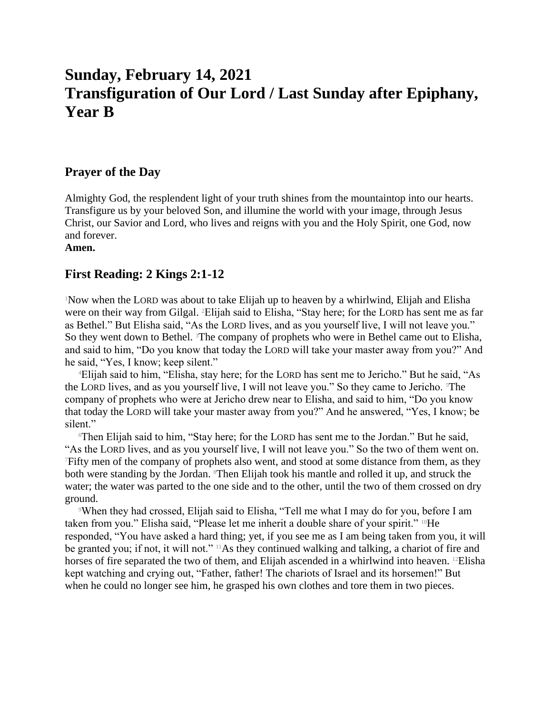# **Sunday, February 14, 2021 Transfiguration of Our Lord / Last Sunday after Epiphany, Year B**

## **Prayer of the Day**

Almighty God, the resplendent light of your truth shines from the mountaintop into our hearts. Transfigure us by your beloved Son, and illumine the world with your image, through Jesus Christ, our Savior and Lord, who lives and reigns with you and the Holy Spirit, one God, now and forever.

**Amen.**

## **First Reading: 2 Kings 2:1-12**

<sup>1</sup>Now when the LORD was about to take Elijah up to heaven by a whirlwind, Elijah and Elisha were on their way from Gilgal. 2Elijah said to Elisha, "Stay here; for the LORD has sent me as far as Bethel." But Elisha said, "As the LORD lives, and as you yourself live, I will not leave you." So they went down to Bethel. <sup>3</sup>The company of prophets who were in Bethel came out to Elisha, and said to him, "Do you know that today the LORD will take your master away from you?" And he said, "Yes, I know; keep silent."

<sup>4</sup>Elijah said to him, "Elisha, stay here; for the LORD has sent me to Jericho." But he said, "As the LORD lives, and as you yourself live, I will not leave you." So they came to Jericho. The company of prophets who were at Jericho drew near to Elisha, and said to him, "Do you know that today the LORD will take your master away from you?" And he answered, "Yes, I know; be silent."

<sup>6</sup>Then Elijah said to him, "Stay here; for the LORD has sent me to the Jordan." But he said, "As the LORD lives, and as you yourself live, I will not leave you." So the two of them went on. <sup>7</sup>Fifty men of the company of prophets also went, and stood at some distance from them, as they both were standing by the Jordan. <sup>8</sup>Then Elijah took his mantle and rolled it up, and struck the water; the water was parted to the one side and to the other, until the two of them crossed on dry ground.

<sup>9</sup>When they had crossed, Elijah said to Elisha, "Tell me what I may do for you, before I am taken from you." Elisha said, "Please let me inherit a double share of your spirit." 10He responded, "You have asked a hard thing; yet, if you see me as I am being taken from you, it will be granted you; if not, it will not." <sup>11</sup>As they continued walking and talking, a chariot of fire and horses of fire separated the two of them, and Elijah ascended in a whirlwind into heaven. <sup>12</sup>Elisha kept watching and crying out, "Father, father! The chariots of Israel and its horsemen!" But when he could no longer see him, he grasped his own clothes and tore them in two pieces.